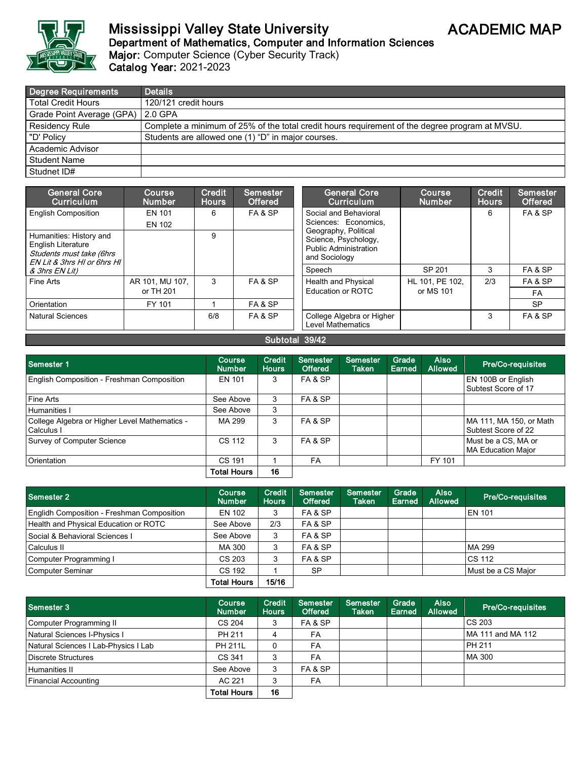

## Mississippi Valley State University<br>Department of Mathematics, Computer and Information Sciences



Major: Computer Science (Cyber Security Track) Catalog Year: 2021-2023

| Degree Requirements                 | <b>Details</b>                                                                                 |
|-------------------------------------|------------------------------------------------------------------------------------------------|
| <b>Total Credit Hours</b>           | 120/121 credit hours                                                                           |
| Grade Point Average (GPA)   2.0 GPA |                                                                                                |
| Residency Rule                      | Complete a minimum of 25% of the total credit hours requirement of the degree program at MVSU. |
| "D' Policy                          | Students are allowed one (1) "D" in major courses.                                             |
| Academic Advisor                    |                                                                                                |
| <b>Student Name</b>                 |                                                                                                |
| Studnet ID#                         |                                                                                                |

| <b>General Core</b><br><b>Curriculum</b>                                                                          | <b>Course</b><br><b>Number</b> | <b>Credit</b><br><b>Hours</b> | <b>Semester</b><br><b>Offered</b> | General Core<br><b>Curriculum</b>                                                             | <b>Course</b><br><b>Number</b> | Credit<br><b>Hours</b> | Semester<br><b>Offered</b> |
|-------------------------------------------------------------------------------------------------------------------|--------------------------------|-------------------------------|-----------------------------------|-----------------------------------------------------------------------------------------------|--------------------------------|------------------------|----------------------------|
| <b>English Composition</b>                                                                                        | EN 101                         | 6                             | FA&SP                             | Social and Behavioral                                                                         |                                | 6                      | FA&SP                      |
|                                                                                                                   | EN 102                         |                               |                                   | Sciences: Economics,                                                                          |                                |                        |                            |
| Humanities: History and<br><b>English Literature</b><br>Students must take (6hrs<br>$EN$ Lit & 3hrs HI or 6hrs HI |                                | 9                             |                                   | Geography, Political<br>Science, Psychology,<br><b>Public Administration</b><br>and Sociology |                                |                        |                            |
| & 3hrs EN Lit)                                                                                                    |                                |                               |                                   | Speech                                                                                        | SP 201                         | 3                      | FA&SP                      |
| Fine Arts                                                                                                         | AR 101, MU 107,                | 3                             | FA&SP                             | <b>Health and Physical</b>                                                                    | HL 101. PE 102.                | 2/3                    | FA&SP                      |
|                                                                                                                   | or TH 201                      |                               |                                   | Education or ROTC                                                                             | or MS 101                      |                        | FA                         |
| Orientation                                                                                                       | FY 101                         |                               | FA&SP                             |                                                                                               |                                |                        | <b>SP</b>                  |
| <b>Natural Sciences</b>                                                                                           |                                | 6/8                           | FA&SP                             | College Algebra or Higher<br><b>Level Mathematics</b>                                         |                                | 3                      | FA&SP                      |

## Subtotal 39/42

| Semester 1                                                  | <b>Course</b><br><b>Number</b> | Credit<br><b>Hours</b> | Semester<br><b>Offered</b> | Semester<br>Taken | Grade<br>Earned | <b>Also</b><br><b>Allowed</b> | <b>Pre/Co-requisites</b>                         |
|-------------------------------------------------------------|--------------------------------|------------------------|----------------------------|-------------------|-----------------|-------------------------------|--------------------------------------------------|
| English Composition - Freshman Composition                  | <b>EN 101</b>                  | 3                      | FA&SP                      |                   |                 |                               | EN 100B or English<br>Subtest Score of 17        |
| Fine Arts                                                   | See Above                      | 3                      | FA & SP                    |                   |                 |                               |                                                  |
| Humanities I                                                | See Above                      | 3                      |                            |                   |                 |                               |                                                  |
| College Algebra or Higher Level Mathematics -<br>Calculus I | MA 299                         | 3                      | FA&SP                      |                   |                 |                               | MA 111, MA 150, or Math<br>Subtest Score of 22   |
| <b>Survey of Computer Science</b>                           | CS 112                         | 3                      | FA&SP                      |                   |                 |                               | Must be a CS, MA or<br><b>MA Education Major</b> |
| Orientation                                                 | CS 191                         |                        | FA                         |                   |                 | FY 101                        |                                                  |
|                                                             | Total Hours                    | 16                     |                            |                   |                 |                               |                                                  |

| <b>Semester 2</b>                          | <b>Course</b><br><b>Number</b> | <b>Credit</b><br><b>Hours</b> | <b>Semester</b><br><b>Offered</b> | <b>Semester</b><br><b>Taken</b> | Grade<br>Earned | <b>Also</b><br><b>Allowed</b> | <b>Pre/Co-requisites</b> |
|--------------------------------------------|--------------------------------|-------------------------------|-----------------------------------|---------------------------------|-----------------|-------------------------------|--------------------------|
| Englidh Composition - Freshman Composition | EN 102                         | 3                             | FA&SP                             |                                 |                 |                               | EN 101                   |
| Health and Physical Education or ROTC      | See Above                      | 2/3                           | FA&SP                             |                                 |                 |                               |                          |
| Social & Behavioral Sciences I             | See Above                      | 3                             | FA&SP                             |                                 |                 |                               |                          |
| Calculus II                                | MA 300                         | 3                             | FA&SP                             |                                 |                 |                               | <b>MA 299</b>            |
| Computer Programming I                     | CS 203                         | 3                             | FA&SP                             |                                 |                 |                               | <b>CS 112</b>            |
| Computer Seminar                           | CS 192                         |                               | <b>SP</b>                         |                                 |                 |                               | Must be a CS Major       |
|                                            | <b>Total Hours</b>             | 15/16                         |                                   |                                 |                 |                               |                          |

| Semester 3                           | <b>Course</b><br><b>Number</b> | <b>Credit</b><br><b>Hours</b> | <b>Semester</b><br><b>Offered</b> | <b>Semester</b><br>Taken | Grade<br>Earned | <b>Also</b><br><b>Allowed</b> | Pre/Co-requisites |
|--------------------------------------|--------------------------------|-------------------------------|-----------------------------------|--------------------------|-----------------|-------------------------------|-------------------|
| <b>Computer Programming II</b>       | CS 204                         | 3                             | FA&SP                             |                          |                 |                               | CS 203            |
| Natural Sciences I-Physics I         | PH 211                         | 4                             | FA                                |                          |                 |                               | MA 111 and MA 112 |
| Natural Sciences I Lab-Physics I Lab | <b>PH 211L</b>                 | 0                             | FA                                |                          |                 |                               | <b>PH 211</b>     |
| Discrete Structures                  | CS 341                         | 3                             | FA                                |                          |                 |                               | MA 300            |
| Humanities II                        | See Above                      | 3                             | FA&SP                             |                          |                 |                               |                   |
| <b>Financial Accounting</b>          | AC 221                         | 3                             | FA                                |                          |                 |                               |                   |
|                                      | <b>Total Hours</b>             | 16                            |                                   |                          |                 |                               |                   |